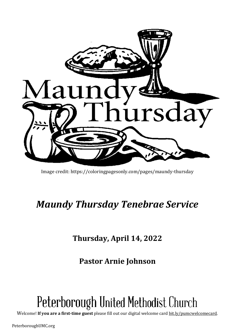

Image credit: https://coloringpagesonly.com/pages/maundy-thursday

## *Maundy Thursday Tenebrae Service*

**Thursday, April 14, 2022**

**Pastor Arnie Johnson**

# Peterborough United Methodist Church

Welcome! **If you are a first-time guest** please fill out our digital welcome card [bit.ly/pumcwelcomecard.](http://bit.ly/pumcwelcomecard)

PeterboroughUMC.org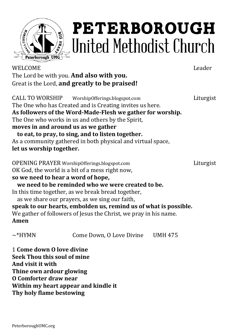

# **PETERBOROUGH** ,United Methodist Church

WELCOME Leader The Lord be with you. **And also with you.** Great is the Lord, **and greatly to be praised!**

CALL TO WORSHIP WorshipOfferings.blogspot.com Liturgist The One who has Created and is Creating invites us here. **As followers of the Word-Made-Flesh we gather for worship.** The One who works in us and others by the Spirit, **moves in and around us as we gather to eat, to pray, to sing, and to listen together.** As a community gathered in both physical and virtual space, **let us worship together.** OPENING PRAYER WorshipOfferings.blogspot.com Liturgist OK God, the world is a bit of a mess right now, **so we need to hear a word of hope, we need to be reminded who we were created to be.** In this time together, as we break bread together, as we share our prayers, as we sing our faith, **speak to our hearts, embolden us, remind us of what is possible.** We gather of followers of Jesus the Christ, we pray in his name. **Amen** ~\*HYMN Come Down, O Love Divine UMH 475 1 **Come down O love divine**

**Seek Thou this soul of mine And visit it with Thine own ardour glowing O Comforter draw near Within my heart appear and kindle it Thy holy flame bestowing**

PeterboroughUMC.org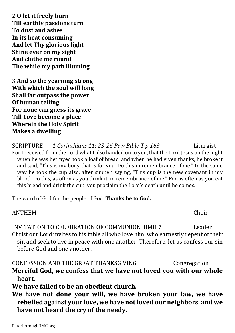2 **O let it freely burn Till earthly passions turn To dust and ashes In its heat consuming And let Thy glorious light Shine ever on my sight And clothe me round The while my path illuming**

3 **And so the yearning strong With which the soul will long Shall far outpass the power Of human telling For none can guess its grace Till Love become a place Wherein the Holy Spirit Makes a dwelling**

SCRIPTURE *1 Corinthians 11: 23-26 Pew Bible T p 163* Liturgist For I received from the Lord what I also handed on to you, that the Lord Jesus on the night when he was betrayed took a loaf of bread, and when he had given thanks, he broke it and said, "This is my body that is for you. Do this in remembrance of me." In the same way he took the cup also, after supper, saying, "This cup is the new covenant in my blood. Do this, as often as you drink it, in remembrance of me." For as often as you eat this bread and drink the cup, you proclaim the Lord's death until he comes.

The word of God for the people of God. **Thanks be to God.**

ANTHEM Choir

INVITATION TO CELEBRATION OF COMMUNION UMH 7 Leader Christ our Lord invites to his table all who love him, who earnestly repent of their sin and seek to live in peace with one another. Therefore, let us confess our sin before God and one another.

CONFESSION AND THE GREAT THANKSGIVING Congregation **Merciful God, we confess that we have not loved you with our whole heart.**

**We have failed to be an obedient church.**

**We have not done your will, we have broken your law, we have rebelled against your love, we have notloved our neighbors, and we have not heard the cry of the needy.**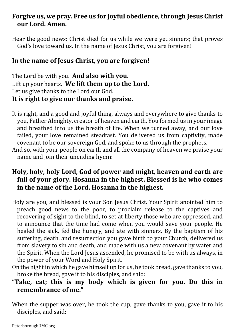### **Forgive us, we pray. Free us for joyful obedience,through Jesus Christ our Lord. Amen.**

Hear the good news: Christ died for us while we were yet sinners; that proves God's love toward us. In the name of Jesus Christ, you are forgiven!

### **In the name of Jesus Christ, you are forgiven!**

The Lord be with you. **And also with you.** Lift up your hearts. **We lift them up to the Lord.** Let us give thanks to the Lord our God. **It is right to give our thanks and praise.**

- It is right, and a good and joyful thing, always and everywhere to give thanks to you, Father Almighty, creator of heaven and earth. You formed us in your image and breathed into us the breath of life. When we turned away, and our love failed, your love remained steadfast. You delivered us from captivity, made covenant to be our sovereign God, and spoke to us through the prophets.
- And so, with your people on earth and all the company of heaven we praise your name and join their unending hymn:

### **Holy, holy, holy Lord, God of power and might, heaven and earth are full of your glory. Hosanna in the highest. Blessed is he who comes in the name of the Lord. Hosanna in the highest.**

- Holy are you, and blessed is your Son Jesus Christ. Your Spirit anointed him to preach good news to the poor, to proclaim release to the captives and recovering of sight to the blind, to set at liberty those who are oppressed, and to announce that the time had come when you would save your people. He healed the sick, fed the hungry, and ate with sinners. By the baptism of his suffering, death, and resurrection you gave birth to your Church, delivered us from slavery to sin and death, and made with us a new covenant by water and the Spirit. When the Lord Jesus ascended, he promised to be with us always, in the power of your Word and Holy Spirit.
- On the night in which he gave himself up for us, he took bread, gave thanks to you, broke the bread, gave it to his disciples, and said:

### **"Take, eat; this is my body which is given for you. Do this in remembrance of me."**

When the supper was over, he took the cup, gave thanks to you, gave it to his disciples, and said: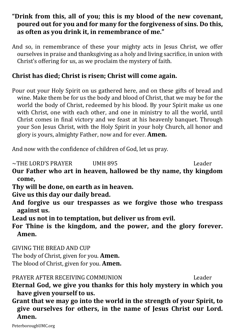### **"Drink from this, all of you; this is my blood of the new covenant, poured out for you and for many for the forgiveness of sins. Do this, as often as you drink it, in remembrance of me."**

And so, in remembrance of these your mighty acts in Jesus Christ, we offer ourselves in praise and thanksgiving as a holy and living sacrifice, in union with Christ's offering for us, as we proclaim the mystery of faith.

### **Christ has died; Christ is risen; Christ will come again.**

Pour out your Holy Spirit on us gathered here, and on these gifts of bread and wine. Make them be for us the body and blood of Christ, that we may be for the world the body of Christ, redeemed by his blood. By your Spirit make us one with Christ, one with each other, and one in ministry to all the world, until Christ comes in final victory and we feast at his heavenly banquet. Through your Son Jesus Christ, with the Holy Spirit in your holy Church, all honor and glory is yours, almighty Father, now and for ever. **Amen.**

And now with the confidence of children of God, let us pray.

~THE LORD'S PRAYER UMH 895 Leader

- **Our Father who art in heaven, hallowed be thy name, thy kingdom come,**
- **Thy will be done, on earth as in heaven.**
- **Give us this day our daily bread.**
- **And forgive us our trespasses as we forgive those who trespass against us.**
- **Lead us not in to temptation, but deliver us from evil.**

**For Thine is the kingdom, and the power, and the glory forever. Amen.**

GIVING THE BREAD AND CUP The body of Christ, given for you. **Amen.** The blood of Christ, given for you. **Amen.**

PRAYER AFTER RECEIVING COMMUNION Leader

- **Eternal God, we give you thanks for this holy mystery in which you have given yourself to us.**
- **Grant that we may go into the world in the strength of your Spirit, to give ourselves for others, in the name of Jesus Christ our Lord. Amen.**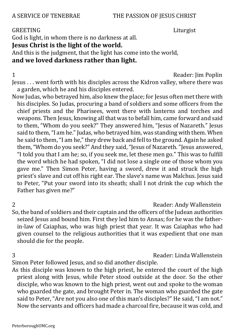### A SERVICE OF TENEBRAE THE PASSION OF JESUS CHRIST

### GREETING Liturgist

God is light, in whom there is no darkness at all.

### **Jesus Christ is the light of the world.**

And this is the judgment, that the light has come into the world,

### **and we loved darkness rather than light.**

1 Reader: Jim Poplin

Jesus . . . went forth with his disciples across the Kidron valley, where there was a garden, which he and his disciples entered.

Now Judas, who betrayed him, also knew the place; for Jesus often met there with his disciples. So Judas, procuring a band of soldiers and some officers from the chief priests and the Pharisees, went there with lanterns and torches and weapons. Then Jesus, knowing all that was to befall him, came forward and said to them, "Whom do you seek?" They answered him, "Jesus of Nazareth." Jesus said to them, "I am he." Judas, who betrayed him, was standing with them. When he said to them,"I am he,"they drew back and fell to the ground. Again he asked them, "Whom do you seek?" And they said,"Jesus of Nazareth. "Jesus answered, "I told you that I am he; so, if you seek me, let these men go." This was to fulfill the word which he had spoken, "I did not lose a single one of those whom you gave me." Then Simon Peter, having a sword, drew it and struck the high priest's slave and cut off his right ear. The slave's name was Malchus. Jesus said to Peter, "Put your sword into its sheath; shall I not drink the cup which the Father has given me?"

2 Reader: Andy Wallenstein

So, the band of soldiers and their captain and the officers of the Judean authorities seized Iesus and bound him. First they led him to Annas; for he was the fatherin-law of Caiaphas, who was high priest that year. It was Caiaphas who had given counsel to the religious authorities that it was expedient that one man should die for the people.

3 Reader: Linda Wallenstein

Simon Peter followed Jesus, and so did another disciple.

As this disciple was known to the high priest, he entered the court of the high priest along with Jesus, while Peter stood outside at the door. So the other disciple, who was known to the high priest, went out and spoke to the woman who guarded the gate, and brought Peter in. The woman who guarded the gate said to Peter, "Are not you also one of this man's disciples?" He said, "I am not." Now the servants and officers had made a charcoal fire, because it was cold, and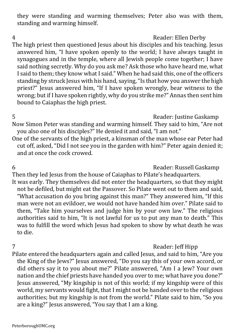they were standing and warming themselves; Peter also was with them, standing and warming himself.

### 4 Reader: Ellen Derby

The high priest then questioned Jesus about his disciples and his teaching. Jesus answered him, "I have spoken openly to the world; I have always taught in synagogues and in the temple, where all Jewish people come together; I have said nothing secretly. Why do you ask me? Ask those who have heard me, what I said to them; they know what I said." When he had said this, one of the officers standing by struck Jesus with his hand, saying,"Is that how you answer the high priest?" Jesus answered him, "If I have spoken wrongly, bear witness to the wrong; but if I have spoken rightly, why do you strike me?" Annas then sent him bound to Caiaphas the high priest.

5 Reader: Justine Gaskamp

Now Simon Peter was standing and warming himself. They said to him, "Are not you also one of his disciples?" He denied it and said, "I am not."

One of the servants of the high priest, a kinsman of the man whose ear Peter had cut off, asked, "Did I not see you in the garden with him?" Peter again denied it; and at once the cock crowed.

6 Reader: Russell Gaskamp

Then they led Jesus from the house of Caiaphas to Pilate's headquarters. It was early. They themselves did not enter the headquarters, so that they might not be defiled, but might eat the Passover. So Pilate went out to them and said, "What accusation do you bring against this man?" They answered him, "If this man were not an evildoer, we would not have handed him over." Pilate said to them, "Take him yourselves and judge him by your own law." The religious authorities said to him, "It is not lawful for us to put any man to death." This was to fulfill the word which Jesus had spoken to show by what death he was to die.

### 7 Reader: Jeff Hipp

Pilate entered the headquarters again and called Jesus, and said to him, "Are you the King of the Jews?" Jesus answered, "Do you say this of your own accord, or did others say it to you about me?" Pilate answered, "Am I a Jew? Your own nation and the chief priests have handed you over to me; what have you done?" Jesus answered, "My kingship is not of this world; if my kingship were of this world, my servants would fight, that I might not be handed over to the religious authorities; but my kingship is not from the world." Pilate said to him, "So you are a king?" Jesus answered, "You say that I am a king.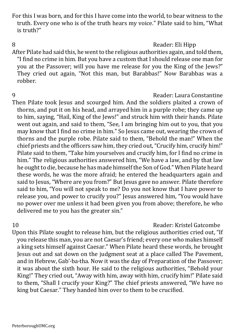For this I was born, and for this I have come into the world, to bear witness to the truth. Every one who is of the truth hears my voice." Pilate said to him, "What is truth?"

### 8 **Reader: Eli Hipp**

After Pilate had said this, he went to the religious authorities again, and told them, "I find no crime in him. But you have a custom that I should release one man for you at the Passover; will you have me release for you the King of the Jews?" They cried out again, "Not this man, but Barabbas!" Now Barabbas was a robber.

### 9 Reader: Laura Constantine

Then Pilate took Jesus and scourged him. And the soldiers plaited a crown of thorns, and put it on his head, and arrayed him in a purple robe; they came up to him, saying, "Hail, King of the Jews!" and struck him with their hands. Pilate went out again, and said to them, "See, I am bringing him out to you, that you may know that I find no crime in him." So Jesus came out, wearing the crown of thorns and the purple robe. Pilate said to them, "Behold the man!" When the chief priests and the officers saw him, they cried out,"Crucify him, crucify him!" Pilate said to them, "Take him yourselves and crucify him, for I find no crime in him." The religious authorities answered him, "We have a law, and by that law he ought to die, because he has made himself the Son of God." When Pilate heard these words, he was the more afraid; he entered the headquarters again and said to Jesus, "Where are you from?" But Jesus gave no answer. Pilate therefore said to him, "You will not speak to me? Do you not know that I have power to release you, and power to crucify you?" Jesus answered him, "You would have no power over me unless it had been given you from above; therefore, he who delivered me to you has the greater sin."

### 10 Reader: Kristel Gatcombe

Upon this Pilate sought to release him, but the religious authorities cried out, "If you release this man, you are not Caesar's friend; every one who makes himself a king sets himself against Caesar." When Pilate heard these words, he brought Jesus out and sat down on the judgment seat at a place called The Pavement, and in Hebrew, Gab'·ba·tha. Now it was the day of Preparation of the Passover; it was about the sixth hour. He said to the religious authorities, "Behold your King!" They cried out, "Away with him, away with him, crucify him!" Pilate said to them, "Shall I crucify your King?" The chief priests answered, "We have no king but Caesar." They handed him over to them to be crucified.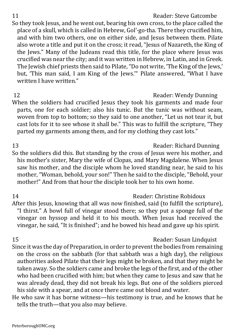### 11 **11** Reader: Steve Gatcombe So they took Jesus, and he went out, bearing his own cross, to the place called the place of a skull, which is called in Hebrew, Gol'·go·tha. There they crucified him, and with him two others, one on either side, and Jesus between them. Pilate also wrote a title and put it on the cross; it read, "Jesus of Nazareth, the King of the Jews." Many of the Judeans read this title, for the place where Jesus was crucified was near the city; and it was written in Hebrew, in Latin, and in Greek. The Jewish chief priests then said to Pilate, "Do not write, 'The King of the Jews,' but, 'This man said, I am King of the Jews.'" Pilate answered, "What I have written I have written."

- 12 Reader: Wendy Dunning When the soldiers had crucified Jesus they took his garments and made four parts, one for each soldier; also his tunic. But the tunic was without seam, woven from top to bottom; so they said to one another, "Let us not tear it, but cast lots for it to see whose it shall be." This was to fulfill the scripture, "They parted my garments among them, and for my clothing they cast lots."
- 13 Reader: Richard Dunning So the soldiers did this. But standing by the cross of Jesus were his mother, and his mother's sister, Mary the wife of Clopas, and Mary Magdalene. When Jesus saw his mother, and the disciple whom he loved standing near, he said to his mother, "Woman, behold, your son!" Then he said to the disciple, "Behold, your mother!" And from that hour the disciple took her to his own home.

14 Reader: Christine Robidoux After this Jesus, knowing that all was now finished, said (to fulfill the scripture), "I thirst." A bowl full of vinegar stood there; so they put a sponge full of the vinegar on hyssop and held it to his mouth. When Jesus had received the vinegar, he said, "It is finished"; and he bowed his head and gave up his spirit.

15 Reader: Susan Lindquist Since it was the day of Preparation, in order to prevent the bodies from remaining on the cross on the sabbath (for that sabbath was a high day), the religious authorities asked Pilate that their legs might be broken, and that they might be taken away. So the soldiers came and broke the legs of the first, and of the other who had been crucified with him; but when they came to Jesus and saw that he was already dead, they did not break his legs. But one of the soldiers pierced his side with a spear, and at once there came out blood and water.

He who saw it has borne witness—his testimony is true, and he knows that he tells the truth—that you also may believe.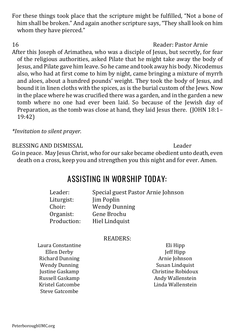PeterboroughUMC.org

For these things took place that the scripture might be fulfilled, "Not a bone of him shall be broken." And again another scripture says, "They shall look on him whom they have pierced."

16 Reader: Pastor Arnie After this Joseph of Arimathea, who was a disciple of Jesus, but secretly, for fear of the religious authorities, asked Pilate that he might take away the body of Jesus, and Pilate gave him leave. So he came and took away his body.Nicodemus also, who had at first come to him by night, came bringing a mixture of myrrh and aloes, about a hundred pounds' weight. They took the body of Jesus, and bound it in linen cloths with the spices, as is the burial custom of the Jews. Now in the place where he was crucified there was a garden, and in the garden a new tomb where no one had ever been laid. So because of the Jewish day of Preparation, as the tomb was close at hand, they laid Jesus there. (JOHN 18:1– 19:42)

*\*Invitation to silent prayer.* 

BLESSING AND DISMISSAL Leader

Go in peace. May Jesus Christ, who for our sake became obedient unto death, even death on a cross, keep you and strengthen you this night and for ever. Amen.

### **ASSISTING IN WORSHIP TODAY:**

| Leader:     | Special guest Pastor Arnie Johnson |
|-------------|------------------------------------|
| Liturgist:  | Jim Poplin                         |
| Choir:      | <b>Wendy Dunning</b>               |
| Organist:   | Gene Brochu                        |
| Production: | Hiel Lindquist                     |

### READERS:

Laura Constantine Ellen Derby Richard Dunning Wendy Dunning Justine Gaskamp Russell Gaskamp Kristel Gatcombe Steve Gatcombe

Eli Hipp Jeff Hipp Arnie Johnson Susan Lindquist Christine Robidoux Andy Wallenstein Linda Wallenstein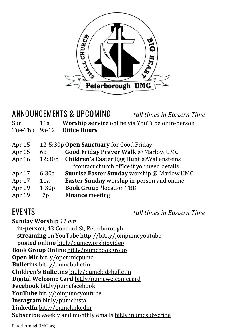

| <b>ANNOUNCEMENTS &amp; UPCOMING:</b><br>*all times in Eastern Time |                                                        |  |
|--------------------------------------------------------------------|--------------------------------------------------------|--|
| 11a                                                                | <b>Worship service</b> online via YouTube or in-person |  |
| $9a-12$                                                            | <b>Office Hours</b>                                    |  |
|                                                                    | 12-5:30p Open Sanctuary for Good Friday                |  |
| 6 <sub>p</sub>                                                     | <b>Good Friday Prayer Walk @ Marlow UMC</b>            |  |
| 12:30p                                                             | <b>Children's Easter Egg Hunt @Wallensteins</b>        |  |
|                                                                    | *contact church office if you need details             |  |
| 6:30a                                                              | <b>Sunrise Easter Sunday worship @ Marlow UMC</b>      |  |
| 11a                                                                | Easter Sunday worship in-person and online             |  |
| 1:30p                                                              | <b>Book Group *location TBD</b>                        |  |
| 7p                                                                 | <b>Finance</b> meeting                                 |  |
|                                                                    |                                                        |  |

**EVENTS:** *\*all times in Eastern Time*

**Sunday Worship** *11 am* **in-person**, 43 Concord St, Peterborough **streaming** on YouTube <http://bit.ly/joinpumcyoutube> **posted online** [bit.ly/pumcworshipvideo](http://bit.ly/pumcworshipvideo) **Book Group Online** [bit.ly/pumcbookgroup](http://bit.ly/pumcbookgroup) **Open Mic** [bit.ly/openmicpumc](https://bit.ly/openmicpumc) **Bulletins** [bit.ly/pumcbulletin](http://bit.ly/pumcbulletin) **Children's Bulletins** [bit.ly/pumckidsbulletin](http://bit.ly/pumckidsbulletin) **Digital Welcome Card** [bit.ly/pumcwelcomecard](http://bit.ly/pumcwelcomecard) **Facebook** [bit.ly/pumcfacebook](http://bit.ly/pumcfacebook) **YouTube** [bit.ly/joinpumcyoutube](http://bit.ly/joinpumcyoutube) **Instagram** [bit.ly/pumcinsta](http://bit.ly/pumcinsta) **LinkedIn** [bit.ly/pumclinkedin](https://bit.ly/pumclinkedin) **Subscribe** weekly and monthly emails [bit.ly/pumcsubscribe](http://bit.ly/pumcsubscribe)